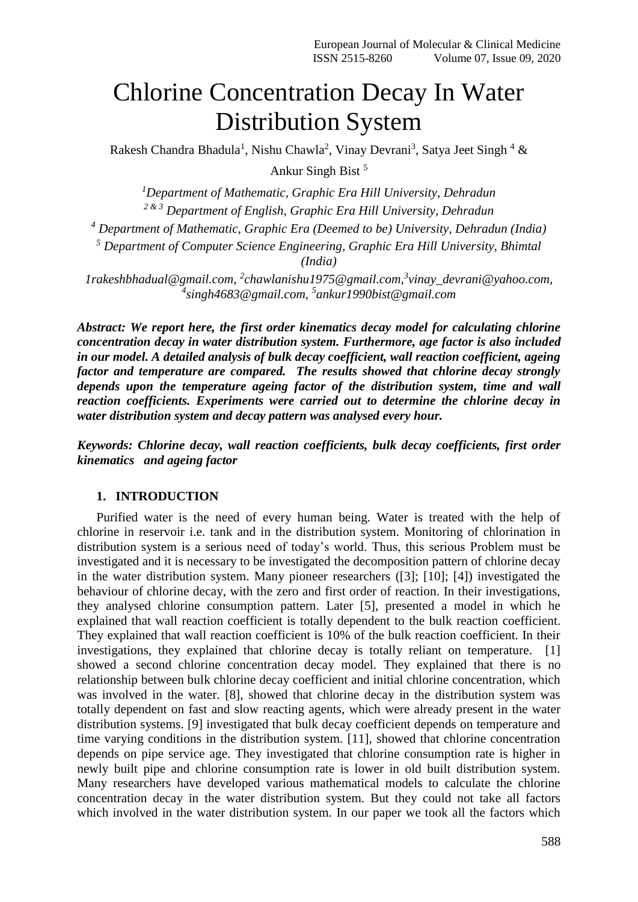# Chlorine Concentration Decay In Water Distribution System

Rakesh Chandra Bhadula<sup>1</sup>, Nishu Chawla<sup>2</sup>, Vinay Devrani<sup>3</sup>, Satya Jeet Singh<sup>4</sup> & Ankur Singh Bist <sup>5</sup>

*<sup>1</sup>Department of Mathematic, Graphic Era Hill University, Dehradun 2 & 3 Department of English, Graphic Era Hill University, Dehradun <sup>4</sup> Department of Mathematic, Graphic Era (Deemed to be) University, Dehradun (India) <sup>5</sup> Department of Computer Science Engineering, Graphic Era Hill University, Bhimtal (India)*

*1rakeshbhadual@gmail.com, <sup>2</sup> chawlanishu1975@gmail.com,<sup>3</sup> vinay\_devrani@yahoo.com, 4 singh4683@gmail.com, <sup>5</sup> ankur1990bist@gmail.com*

*Abstract: We report here, the first order kinematics decay model for calculating chlorine concentration decay in water distribution system. Furthermore, age factor is also included in our model. A detailed analysis of bulk decay coefficient, wall reaction coefficient, ageing factor and temperature are compared. The results showed that chlorine decay strongly depends upon the temperature ageing factor of the distribution system, time and wall reaction coefficients. Experiments were carried out to determine the chlorine decay in water distribution system and decay pattern was analysed every hour.*

*Keywords: Chlorine decay, wall reaction coefficients, bulk decay coefficients, first order kinematics and ageing factor*

#### **1. INTRODUCTION**

Purified water is the need of every human being. Water is treated with the help of chlorine in reservoir i.e. tank and in the distribution system. Monitoring of chlorination in distribution system is a serious need of today's world. Thus, this serious Problem must be investigated and it is necessary to be investigated the decomposition pattern of chlorine decay in the water distribution system. Many pioneer researchers ([3]; [10]; [4]) investigated the behaviour of chlorine decay, with the zero and first order of reaction. In their investigations, they analysed chlorine consumption pattern. Later [5], presented a model in which he explained that wall reaction coefficient is totally dependent to the bulk reaction coefficient. They explained that wall reaction coefficient is 10% of the bulk reaction coefficient. In their investigations, they explained that chlorine decay is totally reliant on temperature. [1] showed a second chlorine concentration decay model. They explained that there is no relationship between bulk chlorine decay coefficient and initial chlorine concentration, which was involved in the water. [8], showed that chlorine decay in the distribution system was totally dependent on fast and slow reacting agents, which were already present in the water distribution systems. [9] investigated that bulk decay coefficient depends on temperature and time varying conditions in the distribution system. [11], showed that chlorine concentration depends on pipe service age. They investigated that chlorine consumption rate is higher in newly built pipe and chlorine consumption rate is lower in old built distribution system. Many researchers have developed various mathematical models to calculate the chlorine concentration decay in the water distribution system. But they could not take all factors which involved in the water distribution system. In our paper we took all the factors which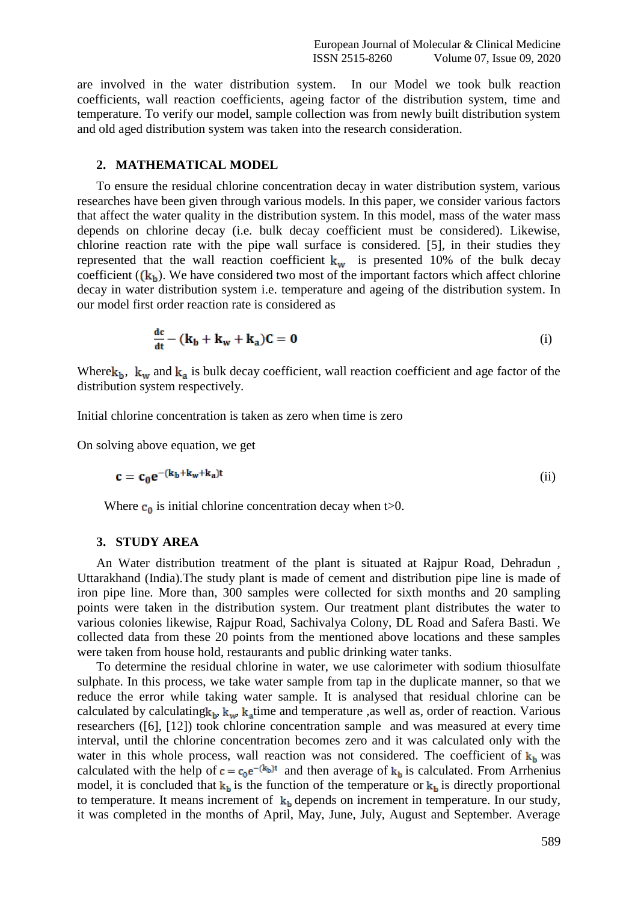are involved in the water distribution system. In our Model we took bulk reaction coefficients, wall reaction coefficients, ageing factor of the distribution system, time and temperature. To verify our model, sample collection was from newly built distribution system and old aged distribution system was taken into the research consideration.

#### **2. MATHEMATICAL MODEL**

To ensure the residual chlorine concentration decay in water distribution system, various researches have been given through various models. In this paper, we consider various factors that affect the water quality in the distribution system. In this model, mass of the water mass depends on chlorine decay (i.e. bulk decay coefficient must be considered). Likewise, chlorine reaction rate with the pipe wall surface is considered. [5], in their studies they represented that the wall reaction coefficient  $k_w$  is presented 10% of the bulk decay coefficient  $({\bf k}_h)$ . We have considered two most of the important factors which affect chlorine decay in water distribution system i.e. temperature and ageing of the distribution system. In our model first order reaction rate is considered as

$$
\frac{dc}{dt} - (\mathbf{k}_b + \mathbf{k}_w + \mathbf{k}_a)\mathbf{C} = \mathbf{0}
$$
 (i)

Where  $k_b$ ,  $k_w$  and  $k_a$  is bulk decay coefficient, wall reaction coefficient and age factor of the distribution system respectively.

Initial chlorine concentration is taken as zero when time is zero

On solving above equation, we get

$$
\mathbf{c} = \mathbf{c}_0 \mathbf{e}^{-(\mathbf{k}_b + \mathbf{k}_w + \mathbf{k}_a)t}
$$
 (ii)

Where  $c_0$  is initial chlorine concentration decay when t>0.

#### **3. STUDY AREA**

An Water distribution treatment of the plant is situated at Rajpur Road, Dehradun , Uttarakhand (India).The study plant is made of cement and distribution pipe line is made of iron pipe line. More than, 300 samples were collected for sixth months and 20 sampling points were taken in the distribution system. Our treatment plant distributes the water to various colonies likewise, Rajpur Road, Sachivalya Colony, DL Road and Safera Basti. We collected data from these 20 points from the mentioned above locations and these samples were taken from house hold, restaurants and public drinking water tanks.

To determine the residual chlorine in water, we use calorimeter with sodium thiosulfate sulphate. In this process, we take water sample from tap in the duplicate manner, so that we reduce the error while taking water sample. It is analysed that residual chlorine can be calculated by calculating  $k_b$ ,  $k_w$ ,  $k_z$  time and temperature , as well as, order of reaction. Various researchers ([6], [12]) took chlorine concentration sample and was measured at every time interval, until the chlorine concentration becomes zero and it was calculated only with the water in this whole process, wall reaction was not considered. The coefficient of  $k<sub>h</sub>$  was calculated with the help of  $c = c_0 e^{-(k_b)t}$  and then average of  $k_b$  is calculated. From Arrhenius model, it is concluded that  $k_b$  is the function of the temperature or  $k_b$  is directly proportional to temperature. It means increment of  $k_b$  depends on increment in temperature. In our study, it was completed in the months of April, May, June, July, August and September. Average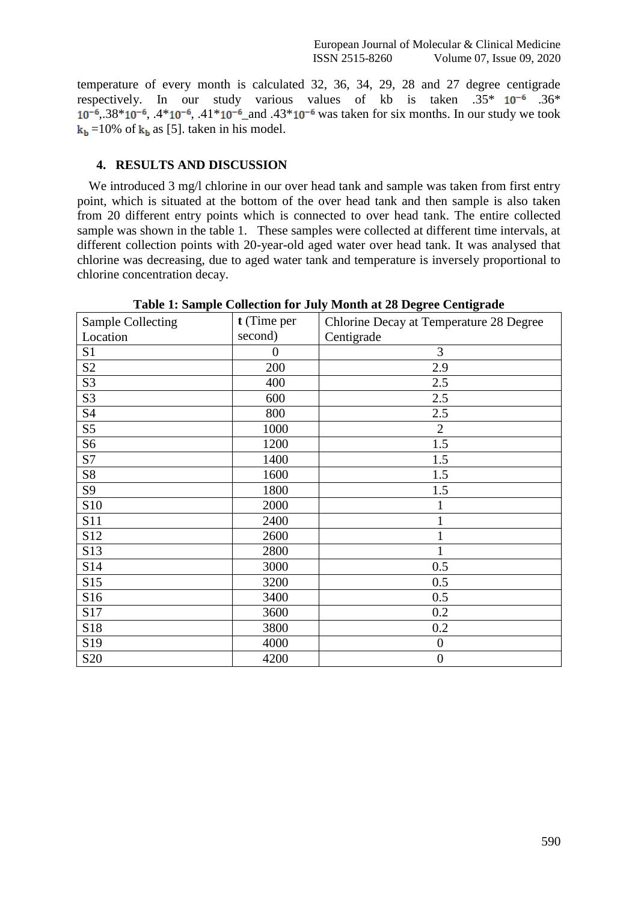temperature of every month is calculated 32, 36, 34, 29, 28 and 27 degree centigrade respectively. In our study various values of kb is taken  $.35*10^{-6}$  .36\*  $10^{-6}$ ,  $38*10^{-6}$ ,  $4*10^{-6}$ ,  $41*10^{-6}$  and  $43*10^{-6}$  was taken for six months. In our study we took  $k_b = 10\%$  of  $k_b$  as [5]. taken in his model.

## **4. RESULTS AND DISCUSSION**

We introduced 3 mg/l chlorine in our over head tank and sample was taken from first entry point, which is situated at the bottom of the over head tank and then sample is also taken from 20 different entry points which is connected to over head tank. The entire collected sample was shown in the table 1. These samples were collected at different time intervals, at different collection points with 20-year-old aged water over head tank. It was analysed that chlorine was decreasing, due to aged water tank and temperature is inversely proportional to chlorine concentration decay.

|                          |             | o<br>o                                  |
|--------------------------|-------------|-----------------------------------------|
| <b>Sample Collecting</b> | t (Time per | Chlorine Decay at Temperature 28 Degree |
| Location                 | second)     | Centigrade                              |
| S <sub>1</sub>           | $\theta$    | 3                                       |
| S <sub>2</sub>           | 200         | 2.9                                     |
| S3                       | 400         | 2.5                                     |
| S3                       | 600         | 2.5                                     |
| S4                       | 800         | 2.5                                     |
| S <sub>5</sub>           | 1000        | $\overline{2}$                          |
| S <sub>6</sub>           | 1200        | 1.5                                     |
| S7                       | 1400        | 1.5                                     |
| S8                       | 1600        | 1.5                                     |
| S9                       | 1800        | 1.5                                     |
| S10                      | 2000        |                                         |
| S11                      | 2400        |                                         |
| S12                      | 2600        | 1                                       |
| S13                      | 2800        |                                         |
| S14                      | 3000        | 0.5                                     |
| S15                      | 3200        | 0.5                                     |
| S16                      | 3400        | 0.5                                     |
| S17                      | 3600        | 0.2                                     |
| S18                      | 3800        | 0.2                                     |
| S19                      | 4000        | $\boldsymbol{0}$                        |
| S <sub>20</sub>          | 4200        | $\boldsymbol{0}$                        |

**Table 1: Sample Collection for July Month at 28 Degree Centigrade**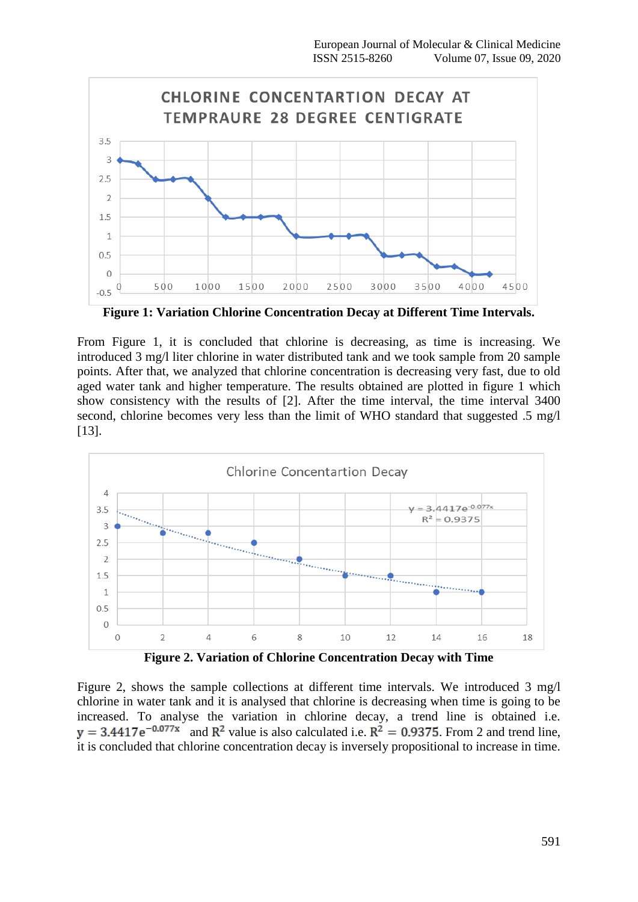

**Figure 1: Variation Chlorine Concentration Decay at Different Time Intervals.**

From Figure 1, it is concluded that chlorine is decreasing, as time is increasing. We introduced 3 mg/l liter chlorine in water distributed tank and we took sample from 20 sample points. After that, we analyzed that chlorine concentration is decreasing very fast, due to old aged water tank and higher temperature. The results obtained are plotted in figure 1 which show consistency with the results of [2]. After the time interval, the time interval 3400 second, chlorine becomes very less than the limit of WHO standard that suggested .5 mg/l [13].



**Figure 2. Variation of Chlorine Concentration Decay with Time**

Figure 2, shows the sample collections at different time intervals. We introduced 3 mg/l chlorine in water tank and it is analysed that chlorine is decreasing when time is going to be increased. To analyse the variation in chlorine decay, a trend line is obtained i.e.  $y = 3.4417e^{-0.077x}$  and  $R^2$  value is also calculated i.e.  $R^2 = 0.9375$ . From 2 and trend line, it is concluded that chlorine concentration decay is inversely propositional to increase in time.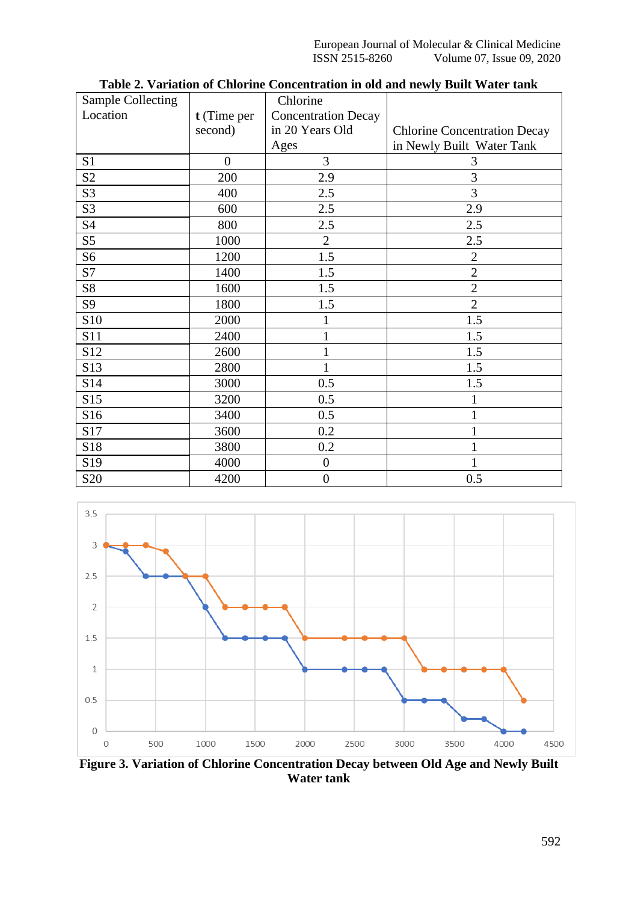| <b>Sample Collecting</b> |                | Chlorine                   |                                     |
|--------------------------|----------------|----------------------------|-------------------------------------|
| Location                 | t (Time per    | <b>Concentration Decay</b> |                                     |
|                          | second)        | in 20 Years Old            | <b>Chlorine Concentration Decay</b> |
|                          |                | Ages                       | in Newly Built Water Tank           |
| S <sub>1</sub>           | $\overline{0}$ | 3                          | 3                                   |
| S <sub>2</sub>           | 200            | 2.9                        | 3                                   |
| S <sub>3</sub>           | 400            | 2.5                        | 3                                   |
| S <sub>3</sub>           | 600            | 2.5                        | 2.9                                 |
| S4                       | 800            | 2.5                        | 2.5                                 |
| S <sub>5</sub>           | 1000           | $\overline{2}$             | 2.5                                 |
| S <sub>6</sub>           | 1200           | 1.5                        | $\overline{2}$                      |
| S7                       | 1400           | 1.5                        | $\overline{2}$                      |
| S8                       | 1600           | 1.5                        | $\overline{2}$                      |
| S9                       | 1800           | 1.5                        | $\overline{2}$                      |
| S10                      | 2000           | 1                          | 1.5                                 |
| S11                      | 2400           | $\mathbf{1}$               | 1.5                                 |
| S12                      | 2600           | $\mathbf{1}$               | 1.5                                 |
| S <sub>13</sub>          | 2800           | $\mathbf{1}$               | 1.5                                 |
| S14                      | 3000           | 0.5                        | 1.5                                 |
| S15                      | 3200           | 0.5                        |                                     |
| S16                      | 3400           | 0.5                        |                                     |
| S17                      | 3600           | 0.2                        |                                     |
| S18                      | 3800           | 0.2                        |                                     |
| S19                      | 4000           | $\boldsymbol{0}$           |                                     |
| S <sub>20</sub>          | 4200           | $\boldsymbol{0}$           | 0.5                                 |

**Table 2. Variation of Chlorine Concentration in old and newly Built Water tank**



**Figure 3. Variation of Chlorine Concentration Decay between Old Age and Newly Built Water tank**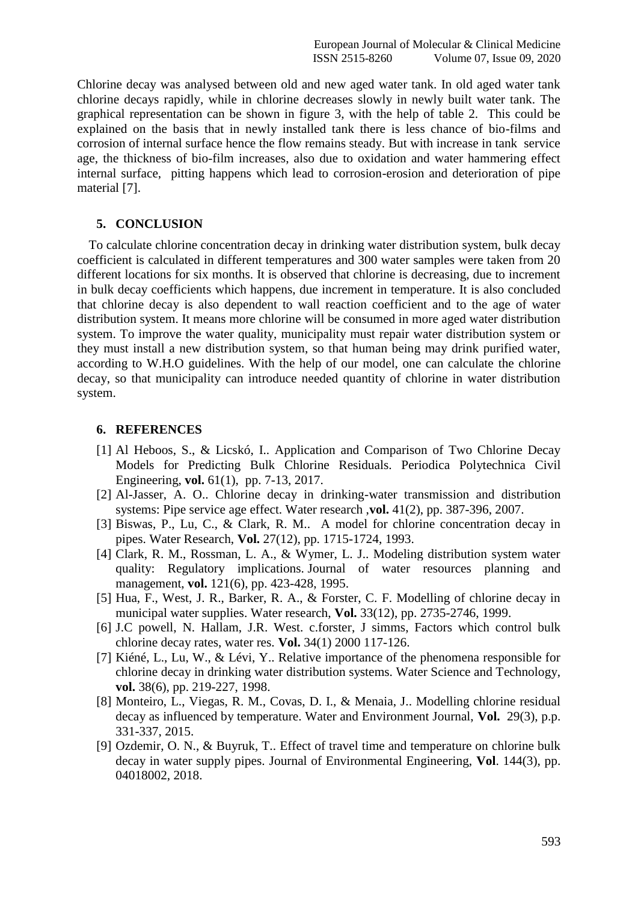Chlorine decay was analysed between old and new aged water tank. In old aged water tank chlorine decays rapidly, while in chlorine decreases slowly in newly built water tank. The graphical representation can be shown in figure 3, with the help of table 2. This could be explained on the basis that in newly installed tank there is less chance of bio-films and corrosion of internal surface hence the flow remains steady. But with increase in tank service age, the thickness of bio-film increases, also due to oxidation and water hammering effect internal surface, pitting happens which lead to corrosion-erosion and deterioration of pipe material [7].

## **5. CONCLUSION**

To calculate chlorine concentration decay in drinking water distribution system, bulk decay coefficient is calculated in different temperatures and 300 water samples were taken from 20 different locations for six months. It is observed that chlorine is decreasing, due to increment in bulk decay coefficients which happens, due increment in temperature. It is also concluded that chlorine decay is also dependent to wall reaction coefficient and to the age of water distribution system. It means more chlorine will be consumed in more aged water distribution system. To improve the water quality, municipality must repair water distribution system or they must install a new distribution system, so that human being may drink purified water, according to W.H.O guidelines. With the help of our model, one can calculate the chlorine decay, so that municipality can introduce needed quantity of chlorine in water distribution system.

### **6. REFERENCES**

- [1] Al Heboos, S., & Licskó, I.. Application and Comparison of Two Chlorine Decay Models for Predicting Bulk Chlorine Residuals. Periodica Polytechnica Civil Engineering, **vol.** 61(1), pp. 7-13, 2017.
- [2] Al-Jasser, A. O.. Chlorine decay in drinking-water transmission and distribution systems: Pipe service age effect. Water research ,**vol.** 41(2), pp. 387-396, 2007.
- [3] Biswas, P., Lu, C., & Clark, R. M.. A model for chlorine concentration decay in pipes. Water Research, **Vol.** 27(12), pp. 1715-1724, 1993.
- [4] Clark, R. M., Rossman, L. A., & Wymer, L. J.. Modeling distribution system water quality: Regulatory implications. Journal of water resources planning and management, **vol.** 121(6), pp. 423-428, 1995.
- [5] Hua, F., West, J. R., Barker, R. A., & Forster, C. F. Modelling of chlorine decay in municipal water supplies. Water research, **Vol.** 33(12), pp. 2735-2746, 1999.
- [6] J.C powell, N. Hallam, J.R. West. c.forster, J simms, Factors which control bulk chlorine decay rates, water res. **Vol.** 34(1) 2000 117-126.
- [7] Kiéné, L., Lu, W., & Lévi, Y.. Relative importance of the phenomena responsible for chlorine decay in drinking water distribution systems. Water Science and Technology, **vol.** 38(6), pp. 219-227, 1998.
- [8] Monteiro, L., Viegas, R. M., Covas, D. I., & Menaia, J.. Modelling chlorine residual decay as influenced by temperature. Water and Environment Journal, **Vol.** 29(3), p.p. 331-337, 2015.
- [9] Ozdemir, O. N., & Buyruk, T.. Effect of travel time and temperature on chlorine bulk decay in water supply pipes. Journal of Environmental Engineering, **Vol**. 144(3), pp. 04018002, 2018.